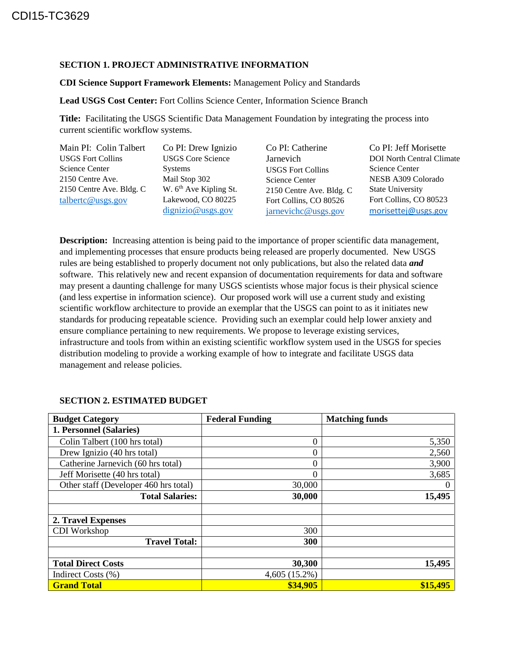## **SECTION 1. PROJECT ADMINISTRATIVE INFORMATION**

## **CDI Science Support Framework Elements:** Management Policy and Standards

**Lead USGS Cost Center:** Fort Collins Science Center, Information Science Branch

**Title:** Facilitating the USGS Scientific Data Management Foundation by integrating the process into current scientific workflow systems.

| Main PI: Colin Talbert   | Co PI: Drew Ignizio                | Co PI: Catherine         | Co PI: Jeff Morisette            |
|--------------------------|------------------------------------|--------------------------|----------------------------------|
| <b>USGS Fort Collins</b> | <b>USGS Core Science</b>           | Jarnevich                | <b>DOI</b> North Central Climate |
| Science Center           | Systems                            | <b>USGS Fort Collins</b> | <b>Science Center</b>            |
| 2150 Centre Ave.         | Mail Stop 302                      | Science Center           | NESB A309 Colorado               |
| 2150 Centre Ave. Bldg. C | W. 6 <sup>th</sup> Ave Kipling St. | 2150 Centre Ave. Bldg. C | <b>State University</b>          |
| talbertc@usgs.gov        | Lakewood, CO 80225                 | Fort Collins, CO 80526   | Fort Collins, CO 80523           |
|                          | dignizio@uss.gov                   | jarnevichc@usgs.gov      | morisettej@usgs.gov              |

**Description:** Increasing attention is being paid to the importance of proper scientific data management, and implementing processes that ensure products being released are properly documented. New USGS rules are being established to properly document not only publications, but also the related data *and* software. This relatively new and recent expansion of documentation requirements for data and software may present a daunting challenge for many USGS scientists whose major focus is their physical science (and less expertise in information science). Our proposed work will use a current study and existing scientific workflow architecture to provide an exemplar that the USGS can point to as it initiates new standards for producing repeatable science. Providing such an exemplar could help lower anxiety and ensure compliance pertaining to new requirements. We propose to leverage existing services, infrastructure and tools from within an existing scientific workflow system used in the USGS for species distribution modeling to provide a working example of how to integrate and facilitate USGS data management and release policies.

| <b>Budget Category</b>                | <b>Federal Funding</b> | <b>Matching funds</b> |
|---------------------------------------|------------------------|-----------------------|
| 1. Personnel (Salaries)               |                        |                       |
| Colin Talbert (100 hrs total)         | $\theta$               | 5,350                 |
| Drew Ignizio (40 hrs total)           | $\Omega$               | 2,560                 |
| Catherine Jarnevich (60 hrs total)    | $\theta$               | 3,900                 |
| Jeff Morisette (40 hrs total)         | $\Omega$               | 3,685                 |
| Other staff (Developer 460 hrs total) | 30,000                 | $\theta$              |
| <b>Total Salaries:</b>                | 30,000                 | 15,495                |
|                                       |                        |                       |
| 2. Travel Expenses                    |                        |                       |
| CDI Workshop                          | 300                    |                       |
| <b>Travel Total:</b>                  | 300                    |                       |
|                                       |                        |                       |
| <b>Total Direct Costs</b>             | 30,300                 | 15,495                |
| Indirect Costs (%)                    | 4,605 (15.2%)          |                       |
| <b>Grand Total</b>                    | \$34,905               | \$15,495              |

## **SECTION 2. ESTIMATED BUDGET**